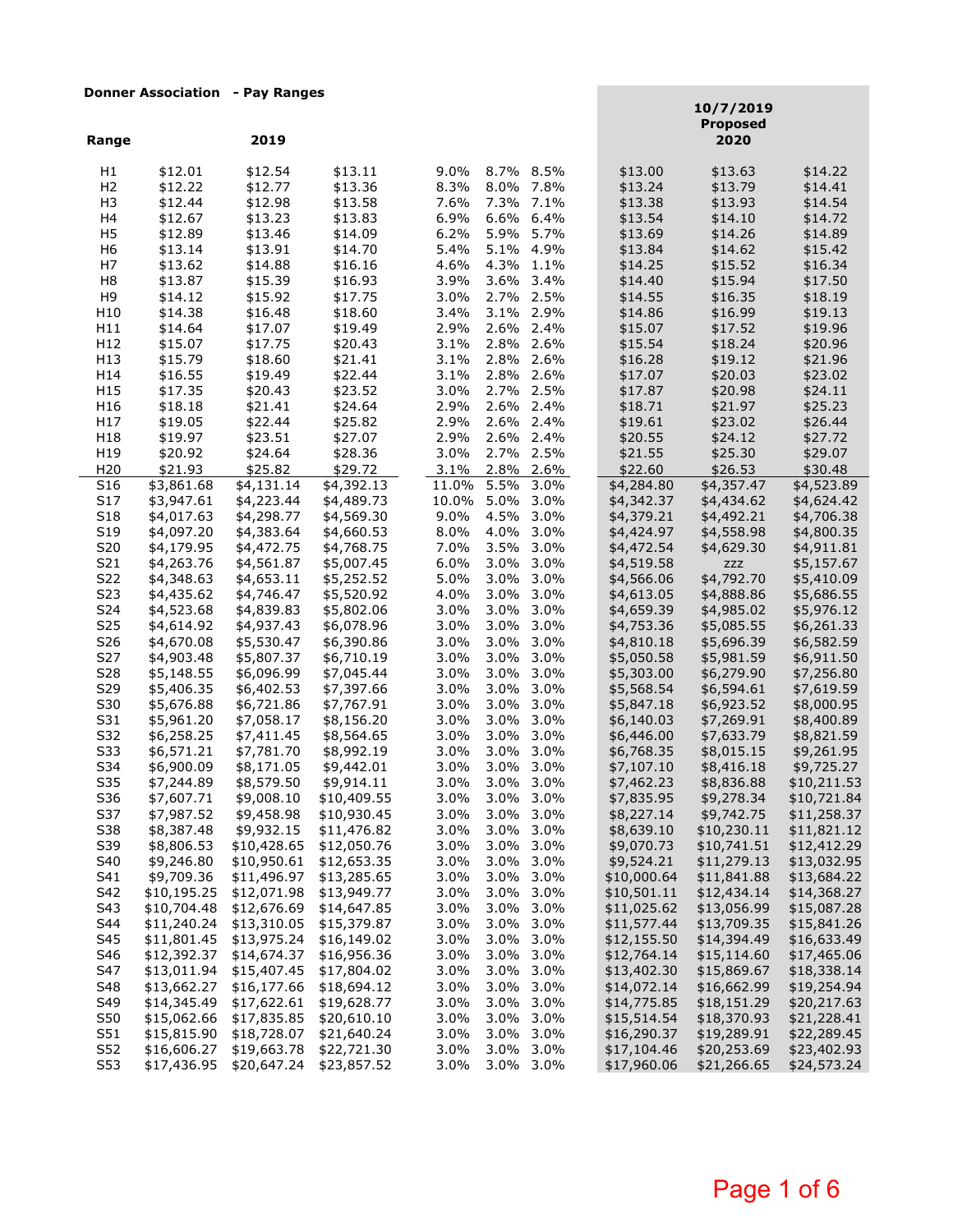## **Donner Association - Pay Ranges**

|                 |             |             |             |       |                |           |             | 10/7/2019       |             |
|-----------------|-------------|-------------|-------------|-------|----------------|-----------|-------------|-----------------|-------------|
|                 |             |             |             |       |                |           |             | <b>Proposed</b> |             |
| Range           |             | 2019        |             |       |                |           |             | 2020            |             |
| H1              | \$12.01     | \$12.54     | \$13.11     | 9.0%  | 8.7% 8.5%      |           | \$13.00     | \$13.63         | \$14.22     |
| H <sub>2</sub>  | \$12.22     | \$12.77     | \$13.36     | 8.3%  | 8.0% 7.8%      |           | \$13.24     | \$13.79         | \$14.41     |
| H <sub>3</sub>  | \$12.44     | \$12.98     | \$13.58     | 7.6%  | 7.3% 7.1%      |           | \$13.38     | \$13.93         | \$14.54     |
| H <sub>4</sub>  | \$12.67     | \$13.23     | \$13.83     | 6.9%  | 6.6% 6.4%      |           | \$13.54     | \$14.10         | \$14.72     |
| H <sub>5</sub>  | \$12.89     | \$13.46     | \$14.09     | 6.2%  | 5.9% 5.7%      |           | \$13.69     | \$14.26         | \$14.89     |
| H <sub>6</sub>  | \$13.14     | \$13.91     | \$14.70     | 5.4%  | 5.1% 4.9%      |           | \$13.84     | \$14.62         | \$15.42     |
| H7              | \$13.62     | \$14.88     | \$16.16     | 4.6%  | 4.3% 1.1%      |           | \$14.25     | \$15.52         | \$16.34     |
| H <sub>8</sub>  | \$13.87     | \$15.39     | \$16.93     | 3.9%  | 3.6% 3.4%      |           | \$14.40     | \$15.94         | \$17.50     |
| H <sub>9</sub>  | \$14.12     | \$15.92     | \$17.75     | 3.0%  | 2.7% 2.5%      |           | \$14.55     | \$16.35         | \$18.19     |
| H10             | \$14.38     | \$16.48     | \$18.60     | 3.4%  | 3.1% 2.9%      |           | \$14.86     | \$16.99         | \$19.13     |
| H11             | \$14.64     | \$17.07     | \$19.49     | 2.9%  | 2.6% 2.4%      |           | \$15.07     | \$17.52         | \$19.96     |
| H12             | \$15.07     | \$17.75     | \$20.43     | 3.1%  | 2.8% 2.6%      |           | \$15.54     | \$18.24         | \$20.96     |
| H13             | \$15.79     | \$18.60     | \$21.41     | 3.1%  | 2.8% 2.6%      |           | \$16.28     | \$19.12         | \$21.96     |
| H14             | \$16.55     | \$19.49     | \$22.44     | 3.1%  | 2.8% 2.6%      |           | \$17.07     | \$20.03         | \$23.02     |
| H15             | \$17.35     | \$20.43     | \$23.52     | 3.0%  | 2.7% 2.5%      |           | \$17.87     | \$20.98         | \$24.11     |
| H16             | \$18.18     | \$21.41     | \$24.64     | 2.9%  | 2.6% 2.4%      |           | \$18.71     | \$21.97         | \$25.23     |
| H17             | \$19.05     | \$22.44     | \$25.82     | 2.9%  | 2.6% 2.4%      |           | \$19.61     | \$23.02         | \$26.44     |
| H18             | \$19.97     | \$23.51     | \$27.07     | 2.9%  | 2.6% 2.4%      |           | \$20.55     | \$24.12         | \$27.72     |
| H19             | \$20.92     | \$24.64     | \$28.36     | 3.0%  | 2.7% 2.5%      |           | \$21.55     | \$25.30         | \$29.07     |
| H <sub>20</sub> | \$21.93     | \$25.82     | \$29.72     | 3.1%  |                | 2.8% 2.6% | \$22.60     | \$26.53         | \$30.48     |
| S <sub>16</sub> | \$3,861.68  | \$4,131.14  | \$4,392.13  | 11.0% | 5.5% 3.0%      |           | \$4,284.80  | \$4,357.47      | \$4,523.89  |
| S17             | \$3,947.61  | \$4,223.44  | \$4,489.73  | 10.0% | 5.0% 3.0%      |           | \$4,342.37  | \$4,434.62      | \$4,624.42  |
| S18             | \$4,017.63  | \$4,298.77  | \$4,569.30  | 9.0%  | 4.5% 3.0%      |           | \$4,379.21  | \$4,492.21      | \$4,706.38  |
| S19             | \$4,097.20  | \$4,383.64  | \$4,660.53  | 8.0%  | 4.0% 3.0%      |           | \$4,424.97  | \$4,558.98      | \$4,800.35  |
| S20             | \$4,179.95  | \$4,472.75  | \$4,768.75  | 7.0%  | 3.5% 3.0%      |           | \$4,472.54  | \$4,629.30      | \$4,911.81  |
| S21             | \$4,263.76  | \$4,561.87  | \$5,007.45  | 6.0%  | 3.0% 3.0%      |           | \$4,519.58  | <b>ZZZ</b>      | \$5,157.67  |
| S22             | \$4,348.63  | \$4,653.11  | \$5,252.52  | 5.0%  | 3.0% 3.0%      |           | \$4,566.06  | \$4,792.70      | \$5,410.09  |
| S23             | \$4,435.62  | \$4,746.47  | \$5,520.92  | 4.0%  | 3.0% 3.0%      |           | \$4,613.05  | \$4,888.86      | \$5,686.55  |
| S24             | \$4,523.68  | \$4,839.83  | \$5,802.06  | 3.0%  | 3.0% 3.0%      |           | \$4,659.39  | \$4,985.02      | \$5,976.12  |
| S25             | \$4,614.92  | \$4,937.43  | \$6,078.96  | 3.0%  | 3.0% 3.0%      |           | \$4,753.36  | \$5,085.55      | \$6,261.33  |
| S26             | \$4,670.08  | \$5,530.47  | \$6,390.86  | 3.0%  | 3.0% 3.0%      |           | \$4,810.18  | \$5,696.39      | \$6,582.59  |
| S27             | \$4,903.48  | \$5,807.37  | \$6,710.19  | 3.0%  | 3.0% 3.0%      |           | \$5,050.58  | \$5,981.59      | \$6,911.50  |
| S28             | \$5,148.55  | \$6,096.99  | \$7,045.44  | 3.0%  | 3.0% 3.0%      |           | \$5,303.00  | \$6,279.90      | \$7,256.80  |
| S29             | \$5,406.35  | \$6,402.53  | \$7,397.66  | 3.0%  | 3.0% 3.0%      |           | \$5,568.54  | \$6,594.61      | \$7,619.59  |
| S30             | \$5,676.88  | \$6,721.86  | \$7,767.91  | 3.0%  | 3.0% 3.0%      |           | \$5,847.18  | \$6,923.52      | \$8,000.95  |
| S31             | \$5,961.20  | \$7,058.17  | \$8,156.20  | 3.0%  | 3.0% 3.0%      |           | \$6,140.03  | \$7,269.91      | \$8,400.89  |
| S32             | \$6,258.25  | \$7,411.45  | \$8,564.65  | 3.0%  | 3.0% 3.0%      |           | \$6,446.00  | \$7,633.79      | \$8,821.59  |
| S33             | \$6,571.21  | \$7,781.70  | \$8,992.19  | 3.0%  | 3.0% 3.0%      |           | \$6,768.35  | \$8,015.15      | \$9,261.95  |
| S34             | \$6,900.09  | \$8,171.05  | \$9,442.01  | 3.0%  |                | 3.0% 3.0% | \$7,107.10  | \$8,416.18      | \$9,725.27  |
| S35             | \$7,244.89  | \$8,579.50  | \$9,914.11  | 3.0%  | 3.0% 3.0%      |           | \$7,462.23  | \$8,836.88      | \$10,211.53 |
| S36             | \$7,607.71  | \$9,008.10  | \$10,409.55 |       | 3.0% 3.0% 3.0% |           | \$7,835.95  | \$9,278.34      | \$10,721.84 |
| S37             | \$7,987.52  | \$9,458.98  | \$10,930.45 | 3.0%  | 3.0% 3.0%      |           | \$8,227.14  | \$9,742.75      | \$11,258.37 |
| S38             | \$8,387.48  | \$9,932.15  | \$11,476.82 | 3.0%  | 3.0% 3.0%      |           | \$8,639.10  | \$10,230.11     | \$11,821.12 |
| S39             | \$8,806.53  | \$10,428.65 | \$12,050.76 | 3.0%  | 3.0% 3.0%      |           | \$9,070.73  | \$10,741.51     | \$12,412.29 |
| S40             | \$9,246.80  | \$10,950.61 | \$12,653.35 | 3.0%  |                | 3.0% 3.0% | \$9,524.21  | \$11,279.13     | \$13,032.95 |
| S41             | \$9,709.36  | \$11,496.97 | \$13,285.65 | 3.0%  | 3.0% 3.0%      |           | \$10,000.64 | \$11,841.88     | \$13,684.22 |
| S42             | \$10,195.25 | \$12,071.98 | \$13,949.77 | 3.0%  | 3.0% 3.0%      |           | \$10,501.11 | \$12,434.14     | \$14,368.27 |
| S43             | \$10,704.48 | \$12,676.69 | \$14,647.85 | 3.0%  | 3.0% 3.0%      |           | \$11,025.62 | \$13,056.99     | \$15,087.28 |
| S44             | \$11,240.24 | \$13,310.05 | \$15,379.87 | 3.0%  | 3.0%           | $3.0\%$   | \$11,577.44 | \$13,709.35     | \$15,841.26 |
| S45             | \$11,801.45 | \$13,975.24 | \$16,149.02 | 3.0%  | 3.0%           | $3.0\%$   | \$12,155.50 | \$14,394.49     | \$16,633.49 |
| S46             | \$12,392.37 | \$14,674.37 | \$16,956.36 | 3.0%  | 3.0% 3.0%      |           | \$12,764.14 | \$15,114.60     | \$17,465.06 |
| S47             | \$13,011.94 | \$15,407.45 | \$17,804.02 | 3.0%  | 3.0% 3.0%      |           | \$13,402.30 | \$15,869.67     | \$18,338.14 |
| S48             | \$13,662.27 | \$16,177.66 | \$18,694.12 | 3.0%  | 3.0%           | 3.0%      | \$14,072.14 | \$16,662.99     | \$19,254.94 |
| S49             | \$14,345.49 | \$17,622.61 | \$19,628.77 | 3.0%  | 3.0% 3.0%      |           | \$14,775.85 | \$18,151.29     | \$20,217.63 |
| S50             | \$15,062.66 | \$17,835.85 | \$20,610.10 | 3.0%  | 3.0% 3.0%      |           | \$15,514.54 | \$18,370.93     | \$21,228.41 |
| S51             | \$15,815.90 | \$18,728.07 | \$21,640.24 | 3.0%  | 3.0%           | $3.0\%$   | \$16,290.37 | \$19,289.91     | \$22,289.45 |
| S52             | \$16,606.27 | \$19,663.78 | \$22,721.30 | 3.0%  | 3.0% 3.0%      |           | \$17,104.46 | \$20,253.69     | \$23,402.93 |
| S53             | \$17,436.95 | \$20,647.24 | \$23,857.52 | 3.0%  | 3.0% 3.0%      |           | \$17,960.06 | \$21,266.65     | \$24,573.24 |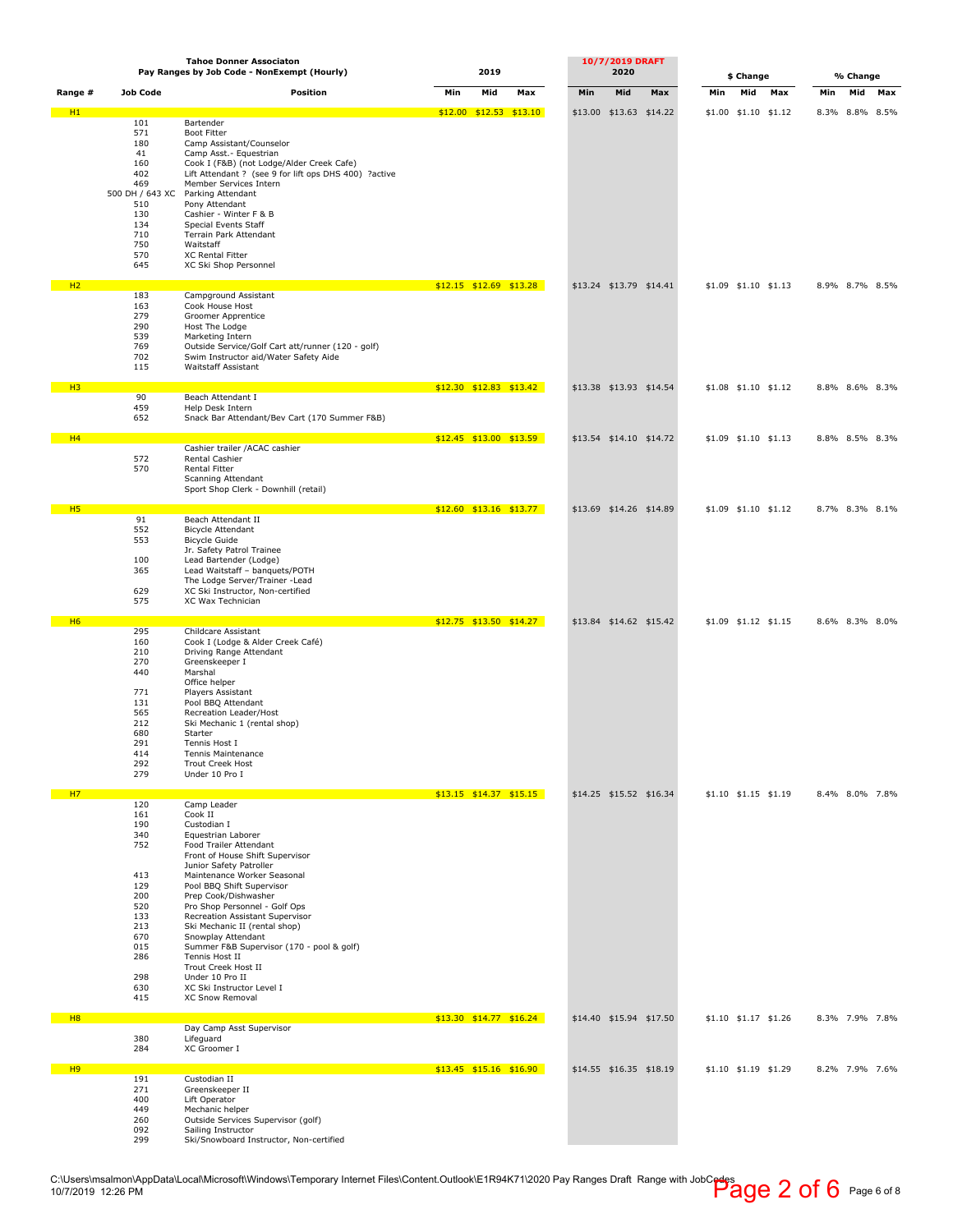|                |                        | 2019                                                                 |     |                            | 10/7/2019 DRAFT<br>2020 |     |                         |     |     |                         |     |     |          |                |
|----------------|------------------------|----------------------------------------------------------------------|-----|----------------------------|-------------------------|-----|-------------------------|-----|-----|-------------------------|-----|-----|----------|----------------|
|                |                        | Pay Ranges by Job Code - NonExempt (Hourly)                          |     |                            |                         |     |                         |     |     | \$ Change               |     |     | % Change |                |
| Range #        | <b>Job Code</b>        | Position                                                             | Min | Mid                        | Max                     | Min | Mid                     | Max | Min | Mid                     | Max | Min | Mid      | Max            |
| H1             |                        |                                                                      |     | $$12.00$ $$12.53$ $$13.10$ |                         |     | \$13.00 \$13.63 \$14.22 |     |     | $$1.00$ $$1.10$ $$1.12$ |     |     |          | 8.3% 8.8% 8.5% |
|                | 101<br>571             | Bartender<br><b>Boot Fitter</b>                                      |     |                            |                         |     |                         |     |     |                         |     |     |          |                |
|                | 180                    | Camp Assistant/Counselor                                             |     |                            |                         |     |                         |     |     |                         |     |     |          |                |
|                | 41<br>160              | Camp Asst. - Equestrian<br>Cook I (F&B) (not Lodge/Alder Creek Cafe) |     |                            |                         |     |                         |     |     |                         |     |     |          |                |
|                | 402                    | Lift Attendant ? (see 9 for lift ops DHS 400) ?active                |     |                            |                         |     |                         |     |     |                         |     |     |          |                |
|                | 469                    | Member Services Intern                                               |     |                            |                         |     |                         |     |     |                         |     |     |          |                |
|                | 500 DH / 643 XC<br>510 | Parking Attendant<br>Pony Attendant                                  |     |                            |                         |     |                         |     |     |                         |     |     |          |                |
|                | 130                    | Cashier - Winter F & B                                               |     |                            |                         |     |                         |     |     |                         |     |     |          |                |
|                | 134<br>710             | Special Events Staff<br>Terrain Park Attendant                       |     |                            |                         |     |                         |     |     |                         |     |     |          |                |
|                | 750                    | Waitstaff                                                            |     |                            |                         |     |                         |     |     |                         |     |     |          |                |
|                | 570<br>645             | XC Rental Fitter<br>XC Ski Shop Personnel                            |     |                            |                         |     |                         |     |     |                         |     |     |          |                |
|                |                        |                                                                      |     |                            |                         |     |                         |     |     |                         |     |     |          |                |
| H2             | 183                    | Campground Assistant                                                 |     | $$12.15$ $$12.69$ $$13.28$ |                         |     | \$13.24 \$13.79 \$14.41 |     |     | $$1.09$ $$1.10$ $$1.13$ |     |     |          | 8.9% 8.7% 8.5% |
|                | 163                    | Cook House Host                                                      |     |                            |                         |     |                         |     |     |                         |     |     |          |                |
|                | 279                    | Groomer Apprentice                                                   |     |                            |                         |     |                         |     |     |                         |     |     |          |                |
|                | 290<br>539             | Host The Lodge<br>Marketing Intern                                   |     |                            |                         |     |                         |     |     |                         |     |     |          |                |
|                | 769                    | Outside Service/Golf Cart att/runner (120 - golf)                    |     |                            |                         |     |                         |     |     |                         |     |     |          |                |
|                | 702<br>115             | Swim Instructor aid/Water Safety Aide<br>Waitstaff Assistant         |     |                            |                         |     |                         |     |     |                         |     |     |          |                |
|                |                        |                                                                      |     |                            |                         |     |                         |     |     |                         |     |     |          |                |
| H3             | 90                     | Beach Attendant I                                                    |     | $$12.30$ $$12.83$ $$13.42$ |                         |     | \$13.38 \$13.93 \$14.54 |     |     | \$1.08 \$1.10 \$1.12    |     |     |          | 8.8% 8.6% 8.3% |
|                | 459                    | Help Desk Intern                                                     |     |                            |                         |     |                         |     |     |                         |     |     |          |                |
|                | 652                    | Snack Bar Attendant/Bev Cart (170 Summer F&B)                        |     |                            |                         |     |                         |     |     |                         |     |     |          |                |
| H4             |                        |                                                                      |     | $$12.45$ \$13.00 \$13.59   |                         |     | \$13.54 \$14.10 \$14.72 |     |     | $$1.09$ $$1.10$ $$1.13$ |     |     |          | 8.8% 8.5% 8.3% |
|                |                        | Cashier trailer /ACAC cashier                                        |     |                            |                         |     |                         |     |     |                         |     |     |          |                |
|                | 572<br>570             | Rental Cashier<br>Rental Fitter                                      |     |                            |                         |     |                         |     |     |                         |     |     |          |                |
|                |                        | Scanning Attendant                                                   |     |                            |                         |     |                         |     |     |                         |     |     |          |                |
|                |                        | Sport Shop Clerk - Downhill (retail)                                 |     |                            |                         |     |                         |     |     |                         |     |     |          |                |
| H <sub>5</sub> |                        |                                                                      |     | $$12.60$ $$13.16$ $$13.77$ |                         |     | \$13.69 \$14.26 \$14.89 |     |     | $$1.09$ $$1.10$ $$1.12$ |     |     |          | 8.7% 8.3% 8.1% |
|                | 91<br>552              | Beach Attendant II<br><b>Bicycle Attendant</b>                       |     |                            |                         |     |                         |     |     |                         |     |     |          |                |
|                | 553                    | <b>Bicycle Guide</b>                                                 |     |                            |                         |     |                         |     |     |                         |     |     |          |                |
|                |                        | Jr. Safety Patrol Trainee                                            |     |                            |                         |     |                         |     |     |                         |     |     |          |                |
|                | 100<br>365             | Lead Bartender (Lodge)<br>Lead Waitstaff - banquets/POTH             |     |                            |                         |     |                         |     |     |                         |     |     |          |                |
|                |                        | The Lodge Server/Trainer - Lead                                      |     |                            |                         |     |                         |     |     |                         |     |     |          |                |
|                | 629<br>575             | XC Ski Instructor, Non-certified<br>XC Wax Technician                |     |                            |                         |     |                         |     |     |                         |     |     |          |                |
|                |                        |                                                                      |     |                            |                         |     |                         |     |     |                         |     |     |          |                |
| H6             | 295                    | Childcare Assistant                                                  |     | $$12.75$ $$13.50$ $$14.27$ |                         |     | \$13.84 \$14.62 \$15.42 |     |     | \$1.09 \$1.12 \$1.15    |     |     |          | 8.6% 8.3% 8.0% |
|                | 160                    | Cook I (Lodge & Alder Creek Café)                                    |     |                            |                         |     |                         |     |     |                         |     |     |          |                |
|                | 210<br>270             | Driving Range Attendant<br>Greenskeeper I                            |     |                            |                         |     |                         |     |     |                         |     |     |          |                |
|                | 440                    | Marshal                                                              |     |                            |                         |     |                         |     |     |                         |     |     |          |                |
|                |                        | Office helper                                                        |     |                            |                         |     |                         |     |     |                         |     |     |          |                |
|                | 771<br>131             | Players Assistant<br>Pool BBQ Attendant                              |     |                            |                         |     |                         |     |     |                         |     |     |          |                |
|                | 565                    | Recreation Leader/Host                                               |     |                            |                         |     |                         |     |     |                         |     |     |          |                |
|                | 212<br>680             | Ski Mechanic 1 (rental shop)<br>Starter                              |     |                            |                         |     |                         |     |     |                         |     |     |          |                |
|                | 291                    | Tennis Host I                                                        |     |                            |                         |     |                         |     |     |                         |     |     |          |                |
|                | 414<br>292             | <b>Tennis Maintenance</b><br>Trout Creek Host                        |     |                            |                         |     |                         |     |     |                         |     |     |          |                |
|                | 279                    | Under 10 Pro I                                                       |     |                            |                         |     |                         |     |     |                         |     |     |          |                |
| H7             |                        |                                                                      |     | $$13.15$ $$14.37$ $$15.15$ |                         |     | \$14.25 \$15.52 \$16.34 |     |     | $$1.10$ $$1.15$ $$1.19$ |     |     |          | 8.4% 8.0% 7.8% |
|                | 120                    | Camp Leader                                                          |     |                            |                         |     |                         |     |     |                         |     |     |          |                |
|                | 161<br>190             | Cook II<br>Custodian I                                               |     |                            |                         |     |                         |     |     |                         |     |     |          |                |
|                | 340                    | Equestrian Laborer                                                   |     |                            |                         |     |                         |     |     |                         |     |     |          |                |
|                | 752                    | Food Trailer Attendant                                               |     |                            |                         |     |                         |     |     |                         |     |     |          |                |
|                |                        | Front of House Shift Supervisor<br>Junior Safety Patroller           |     |                            |                         |     |                         |     |     |                         |     |     |          |                |
|                | 413                    | Maintenance Worker Seasonal                                          |     |                            |                         |     |                         |     |     |                         |     |     |          |                |
|                | 129<br>200             | Pool BBQ Shift Supervisor<br>Prep Cook/Dishwasher                    |     |                            |                         |     |                         |     |     |                         |     |     |          |                |
|                | 520                    | Pro Shop Personnel - Golf Ops                                        |     |                            |                         |     |                         |     |     |                         |     |     |          |                |
|                | 133<br>213             | Recreation Assistant Supervisor<br>Ski Mechanic II (rental shop)     |     |                            |                         |     |                         |     |     |                         |     |     |          |                |
|                | 670                    | Snowplay Attendant                                                   |     |                            |                         |     |                         |     |     |                         |     |     |          |                |
|                | 015                    | Summer F&B Supervisor (170 - pool & golf)                            |     |                            |                         |     |                         |     |     |                         |     |     |          |                |
|                | 286                    | Tennis Host II<br>Trout Creek Host II                                |     |                            |                         |     |                         |     |     |                         |     |     |          |                |
|                | 298                    | Under 10 Pro II                                                      |     |                            |                         |     |                         |     |     |                         |     |     |          |                |
|                | 630<br>415             | XC Ski Instructor Level I<br>XC Snow Removal                         |     |                            |                         |     |                         |     |     |                         |     |     |          |                |
|                |                        |                                                                      |     |                            |                         |     |                         |     |     |                         |     |     |          |                |
| H8             |                        | Day Camp Asst Supervisor                                             |     | $$13.30$ $$14.77$ $$16.24$ |                         |     | \$14.40 \$15.94 \$17.50 |     |     | $$1.10$ $$1.17$ $$1.26$ |     |     |          | 8.3% 7.9% 7.8% |
|                | 380                    | Lifeguard                                                            |     |                            |                         |     |                         |     |     |                         |     |     |          |                |
|                | 284                    | XC Groomer I                                                         |     |                            |                         |     |                         |     |     |                         |     |     |          |                |
| H9             |                        |                                                                      |     | $$13.45$ $$15.16$ $$16.90$ |                         |     | \$14.55 \$16.35 \$18.19 |     |     | \$1.10 \$1.19 \$1.29    |     |     |          | 8.2% 7.9% 7.6% |
|                | 191<br>271             | Custodian II<br>Greenskeeper II                                      |     |                            |                         |     |                         |     |     |                         |     |     |          |                |
|                | 400                    | Lift Operator                                                        |     |                            |                         |     |                         |     |     |                         |     |     |          |                |
|                | 449<br>260             | Mechanic helper<br>Outside Services Supervisor (golf)                |     |                            |                         |     |                         |     |     |                         |     |     |          |                |
|                | 092                    | Sailing Instructor                                                   |     |                            |                         |     |                         |     |     |                         |     |     |          |                |
|                | 299                    | Ski/Snowboard Instructor, Non-certified                              |     |                            |                         |     |                         |     |     |                         |     |     |          |                |

C:\Users\msalmon\AppData\Local\Microsoft\Windows\Temporary Internet Files\Content.Outlook\E1R94K71\2020 Pay Ranges Draft Range with JobCodes<br>10/7/2019 12:26 PM <mark>Page 6 of 8 Page 6 of 8 Page 6 of 8 Page 1</mark>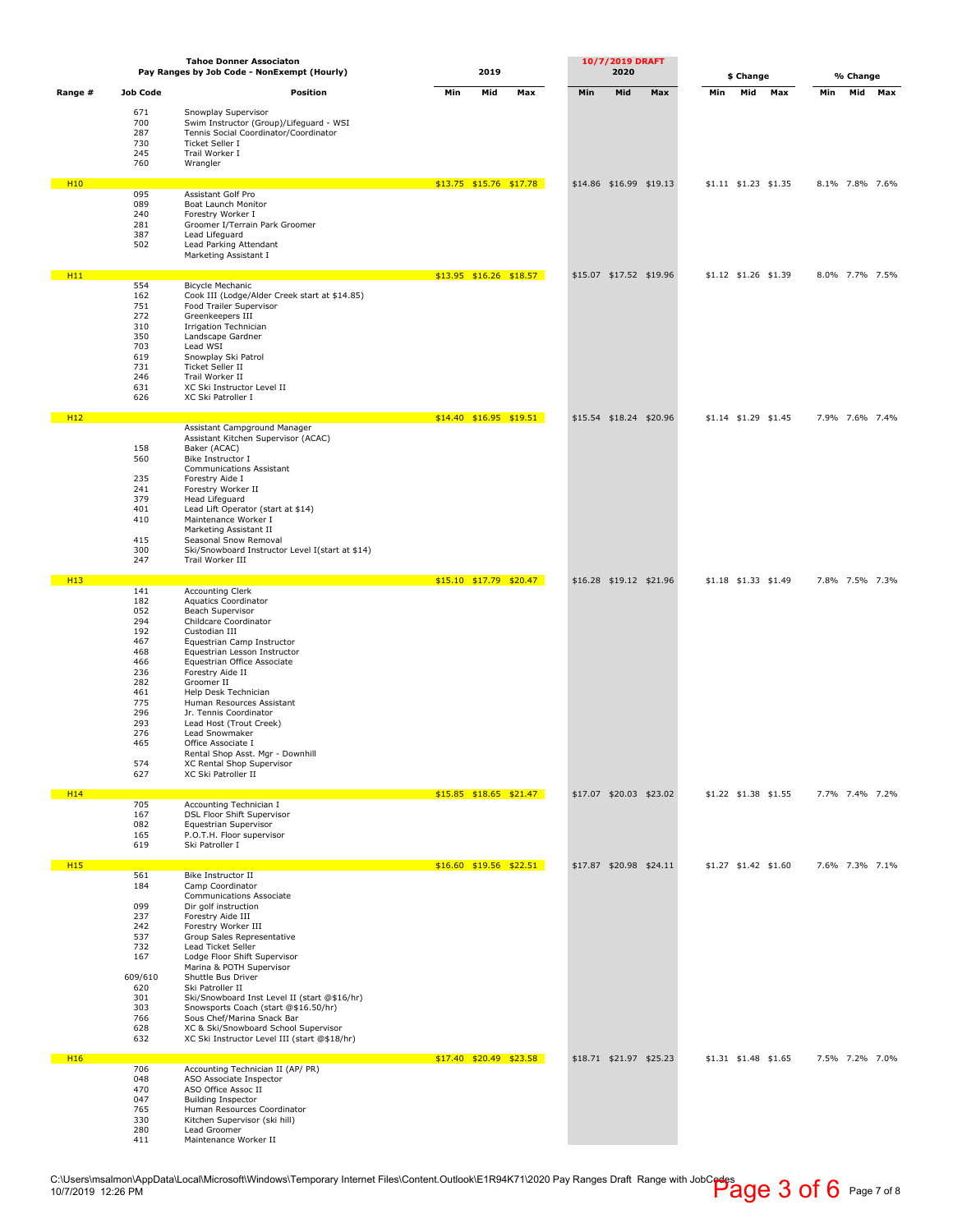|                 | <b>Tahoe Donner Associaton</b><br>Pay Ranges by Job Code - NonExempt (Hourly) |                                                                                      | 2019                       |                            |                            | 10/7/2019 DRAFT<br>2020 |                         |                         |     | \$ Change               |     |     | % Change       |                |  |
|-----------------|-------------------------------------------------------------------------------|--------------------------------------------------------------------------------------|----------------------------|----------------------------|----------------------------|-------------------------|-------------------------|-------------------------|-----|-------------------------|-----|-----|----------------|----------------|--|
|                 |                                                                               |                                                                                      |                            |                            |                            |                         |                         |                         |     |                         |     |     |                |                |  |
| Range #         | <b>Job Code</b>                                                               | Position                                                                             | Min                        | Mid                        | Max                        | Min                     | Mid                     | Max                     | Min | Mid                     | Max | Min | Mid            | Max            |  |
|                 | 671                                                                           | Snowplay Supervisor                                                                  |                            |                            |                            |                         |                         |                         |     |                         |     |     |                |                |  |
|                 | 700                                                                           | Swim Instructor (Group)/Lifeguard - WSI                                              |                            |                            |                            |                         |                         |                         |     |                         |     |     |                |                |  |
|                 | 287<br>730                                                                    | Tennis Social Coordinator/Coordinator<br>Ticket Seller I                             |                            |                            |                            |                         |                         |                         |     |                         |     |     |                |                |  |
|                 | 245                                                                           | Trail Worker I                                                                       |                            |                            |                            |                         |                         |                         |     |                         |     |     |                |                |  |
|                 | 760                                                                           | Wrangler                                                                             |                            |                            |                            |                         |                         |                         |     |                         |     |     |                |                |  |
| H <sub>10</sub> |                                                                               |                                                                                      | $$13.75$ $$15.76$ $$17.78$ |                            |                            |                         | \$14.86 \$16.99 \$19.13 |                         |     | $$1.11$ $$1.23$ $$1.35$ |     |     |                | 8.1% 7.8% 7.6% |  |
|                 | 095                                                                           | Assistant Golf Pro                                                                   |                            |                            |                            |                         |                         |                         |     |                         |     |     |                |                |  |
|                 | 089<br>240                                                                    | Boat Launch Monitor<br>Forestry Worker I                                             |                            |                            |                            |                         |                         |                         |     |                         |     |     |                |                |  |
|                 | 281                                                                           | Groomer I/Terrain Park Groomer                                                       |                            |                            |                            |                         |                         |                         |     |                         |     |     |                |                |  |
|                 | 387<br>502                                                                    | Lead Lifeguard                                                                       |                            |                            |                            |                         |                         |                         |     |                         |     |     |                |                |  |
|                 |                                                                               | Lead Parking Attendant<br>Marketing Assistant I                                      |                            |                            |                            |                         |                         |                         |     |                         |     |     |                |                |  |
|                 |                                                                               |                                                                                      |                            |                            |                            |                         |                         |                         |     |                         |     |     |                |                |  |
| H11             | 554                                                                           | <b>Bicycle Mechanic</b>                                                              | $$13.95$ $$16.26$ $$18.57$ |                            |                            |                         | \$15.07 \$17.52 \$19.96 |                         |     | \$1.12 \$1.26 \$1.39    |     |     |                | 8.0% 7.7% 7.5% |  |
|                 | 162                                                                           | Cook III (Lodge/Alder Creek start at \$14.85)                                        |                            |                            |                            |                         |                         |                         |     |                         |     |     |                |                |  |
|                 | 751                                                                           | Food Trailer Supervisor                                                              |                            |                            |                            |                         |                         |                         |     |                         |     |     |                |                |  |
|                 | 272<br>310                                                                    | Greenkeepers III<br>Irrigation Technician                                            |                            |                            |                            |                         |                         |                         |     |                         |     |     |                |                |  |
|                 | 350                                                                           | Landscape Gardner                                                                    |                            |                            |                            |                         |                         |                         |     |                         |     |     |                |                |  |
|                 | 703<br>619                                                                    | Lead WSI<br>Snowplay Ski Patrol                                                      |                            |                            |                            |                         |                         |                         |     |                         |     |     |                |                |  |
|                 | 731                                                                           | Ticket Seller II                                                                     |                            |                            |                            |                         |                         |                         |     |                         |     |     |                |                |  |
|                 | 246                                                                           | Trail Worker II                                                                      |                            |                            |                            |                         |                         |                         |     |                         |     |     |                |                |  |
|                 | 631<br>626                                                                    | XC Ski Instructor Level II<br>XC Ski Patroller I                                     |                            |                            |                            |                         |                         |                         |     |                         |     |     |                |                |  |
|                 |                                                                               |                                                                                      |                            |                            |                            |                         |                         |                         |     |                         |     |     |                |                |  |
| H12             |                                                                               | Assistant Campground Manager                                                         |                            |                            | $$14.40$ \$16.95 \$19.51   |                         | \$15.54 \$18.24 \$20.96 |                         |     | \$1.14 \$1.29 \$1.45    |     |     |                | 7.9% 7.6% 7.4% |  |
|                 |                                                                               | Assistant Kitchen Supervisor (ACAC)                                                  |                            |                            |                            |                         |                         |                         |     |                         |     |     |                |                |  |
|                 | 158                                                                           | Baker (ACAC)                                                                         |                            |                            |                            |                         |                         |                         |     |                         |     |     |                |                |  |
|                 | 560                                                                           | Bike Instructor I<br><b>Communications Assistant</b>                                 |                            |                            |                            |                         |                         |                         |     |                         |     |     |                |                |  |
|                 | 235                                                                           | Forestry Aide I                                                                      |                            |                            |                            |                         |                         |                         |     |                         |     |     |                |                |  |
|                 | 241                                                                           | Forestry Worker II                                                                   |                            |                            |                            |                         |                         |                         |     |                         |     |     |                |                |  |
|                 | 379<br>401                                                                    | Head Lifeguard<br>Lead Lift Operator (start at \$14)                                 |                            |                            |                            |                         |                         |                         |     |                         |     |     |                |                |  |
|                 | 410                                                                           | Maintenance Worker I                                                                 |                            |                            |                            |                         |                         |                         |     |                         |     |     |                |                |  |
|                 |                                                                               | Marketing Assistant II                                                               |                            |                            |                            |                         |                         |                         |     |                         |     |     |                |                |  |
|                 | 415<br>300                                                                    | Seasonal Snow Removal<br>Ski/Snowboard Instructor Level I(start at \$14)             |                            |                            |                            |                         |                         |                         |     |                         |     |     |                |                |  |
|                 | 247                                                                           | Trail Worker III                                                                     |                            |                            |                            |                         |                         |                         |     |                         |     |     |                |                |  |
| H13             |                                                                               |                                                                                      | $$15.10$ $$17.79$ $$20.47$ |                            |                            |                         | \$16.28 \$19.12 \$21.96 |                         |     | \$1.18 \$1.33 \$1.49    |     |     |                | 7.8% 7.5% 7.3% |  |
|                 | 141                                                                           | <b>Accounting Clerk</b>                                                              |                            |                            |                            |                         |                         |                         |     |                         |     |     |                |                |  |
|                 | 182                                                                           | <b>Aquatics Coordinator</b>                                                          |                            |                            |                            |                         |                         |                         |     |                         |     |     |                |                |  |
|                 | 052<br>294                                                                    | Beach Supervisor<br>Childcare Coordinator                                            |                            |                            |                            |                         |                         |                         |     |                         |     |     |                |                |  |
|                 | 192                                                                           | Custodian III                                                                        |                            |                            |                            |                         |                         |                         |     |                         |     |     |                |                |  |
|                 | 467<br>468                                                                    | Equestrian Camp Instructor<br>Equestrian Lesson Instructor                           |                            |                            |                            |                         |                         |                         |     |                         |     |     |                |                |  |
|                 | 466                                                                           | Equestrian Office Associate                                                          |                            |                            |                            |                         |                         |                         |     |                         |     |     |                |                |  |
|                 | 236                                                                           | Forestry Aide II                                                                     |                            |                            |                            |                         |                         |                         |     |                         |     |     |                |                |  |
|                 | 282<br>461                                                                    | Groomer II<br>Help Desk Technician                                                   |                            |                            |                            |                         |                         |                         |     |                         |     |     |                |                |  |
|                 | 775                                                                           | Human Resources Assistant                                                            |                            |                            |                            |                         |                         |                         |     |                         |     |     |                |                |  |
|                 | 296                                                                           | Jr. Tennis Coordinator                                                               |                            |                            |                            |                         |                         |                         |     |                         |     |     |                |                |  |
|                 | 293<br>276                                                                    | Lead Host (Trout Creek)<br>Lead Snowmaker                                            |                            |                            |                            |                         |                         |                         |     |                         |     |     |                |                |  |
|                 | 465                                                                           | Office Associate I                                                                   |                            |                            |                            |                         |                         |                         |     |                         |     |     |                |                |  |
|                 | 574                                                                           | Rental Shop Asst. Mgr - Downhill<br>XC Rental Shop Supervisor                        |                            |                            |                            |                         |                         |                         |     |                         |     |     |                |                |  |
|                 | 627                                                                           | XC Ski Patroller II                                                                  |                            |                            |                            |                         |                         |                         |     |                         |     |     |                |                |  |
| H14             |                                                                               |                                                                                      |                            |                            | $$15.85$ $$18.65$ $$21.47$ |                         |                         | \$17.07 \$20.03 \$23.02 |     |                         |     |     |                | 7.7% 7.4% 7.2% |  |
|                 | 705                                                                           | Accounting Technician I                                                              |                            |                            |                            |                         |                         |                         |     | $$1.22$ $$1.38$ $$1.55$ |     |     |                |                |  |
|                 | 167                                                                           | DSL Floor Shift Supervisor                                                           |                            |                            |                            |                         |                         |                         |     |                         |     |     |                |                |  |
|                 | 082<br>165                                                                    | Equestrian Supervisor<br>P.O.T.H. Floor supervisor                                   |                            |                            |                            |                         |                         |                         |     |                         |     |     |                |                |  |
|                 | 619                                                                           | Ski Patroller I                                                                      |                            |                            |                            |                         |                         |                         |     |                         |     |     |                |                |  |
| H <sub>15</sub> |                                                                               |                                                                                      |                            |                            | $$16.60$ $$19.56$ $$22.51$ |                         | \$17.87 \$20.98 \$24.11 |                         |     | \$1.27 \$1.42 \$1.60    |     |     |                | 7.6% 7.3% 7.1% |  |
|                 | 561                                                                           | Bike Instructor II                                                                   |                            |                            |                            |                         |                         |                         |     |                         |     |     |                |                |  |
|                 | 184                                                                           | Camp Coordinator                                                                     |                            |                            |                            |                         |                         |                         |     |                         |     |     |                |                |  |
|                 | 099                                                                           | Communications Associate<br>Dir golf instruction                                     |                            |                            |                            |                         |                         |                         |     |                         |     |     |                |                |  |
|                 | 237                                                                           | Forestry Aide III                                                                    |                            |                            |                            |                         |                         |                         |     |                         |     |     |                |                |  |
|                 | 242<br>537                                                                    | Forestry Worker III<br>Group Sales Representative                                    |                            |                            |                            |                         |                         |                         |     |                         |     |     |                |                |  |
|                 | 732                                                                           | Lead Ticket Seller                                                                   |                            |                            |                            |                         |                         |                         |     |                         |     |     |                |                |  |
|                 | 167                                                                           | Lodge Floor Shift Supervisor                                                         |                            |                            |                            |                         |                         |                         |     |                         |     |     |                |                |  |
|                 | 609/610                                                                       | Marina & POTH Supervisor<br>Shuttle Bus Driver                                       |                            |                            |                            |                         |                         |                         |     |                         |     |     |                |                |  |
|                 | 620                                                                           | Ski Patroller II                                                                     |                            |                            |                            |                         |                         |                         |     |                         |     |     |                |                |  |
|                 | 301<br>303                                                                    | Ski/Snowboard Inst Level II (start @\$16/hr)<br>Snowsports Coach (start @\$16.50/hr) |                            |                            |                            |                         |                         |                         |     |                         |     |     |                |                |  |
|                 | 766                                                                           | Sous Chef/Marina Snack Bar                                                           |                            |                            |                            |                         |                         |                         |     |                         |     |     |                |                |  |
|                 | 628                                                                           | XC & Ski/Snowboard School Supervisor                                                 |                            |                            |                            |                         |                         |                         |     |                         |     |     |                |                |  |
|                 | 632                                                                           | XC Ski Instructor Level III (start @\$18/hr)                                         |                            |                            |                            |                         |                         |                         |     |                         |     |     |                |                |  |
| H <sub>16</sub> |                                                                               |                                                                                      |                            | $$17.40$ $$20.49$ $$23.58$ |                            |                         | \$18.71 \$21.97 \$25.23 |                         |     | $$1.31$ $$1.48$ $$1.65$ |     |     | 7.5% 7.2% 7.0% |                |  |
|                 | 706<br>048                                                                    | Accounting Technician II (AP/ PR)<br>ASO Associate Inspector                         |                            |                            |                            |                         |                         |                         |     |                         |     |     |                |                |  |
|                 | 470                                                                           | ASO Office Assoc II                                                                  |                            |                            |                            |                         |                         |                         |     |                         |     |     |                |                |  |
|                 | 047                                                                           | <b>Building Inspector</b>                                                            |                            |                            |                            |                         |                         |                         |     |                         |     |     |                |                |  |
|                 | 765<br>330                                                                    | Human Resources Coordinator<br>Kitchen Supervisor (ski hill)                         |                            |                            |                            |                         |                         |                         |     |                         |     |     |                |                |  |
|                 | 280                                                                           | Lead Groomer                                                                         |                            |                            |                            |                         |                         |                         |     |                         |     |     |                |                |  |
|                 | 411                                                                           | Maintenance Worker II                                                                |                            |                            |                            |                         |                         |                         |     |                         |     |     |                |                |  |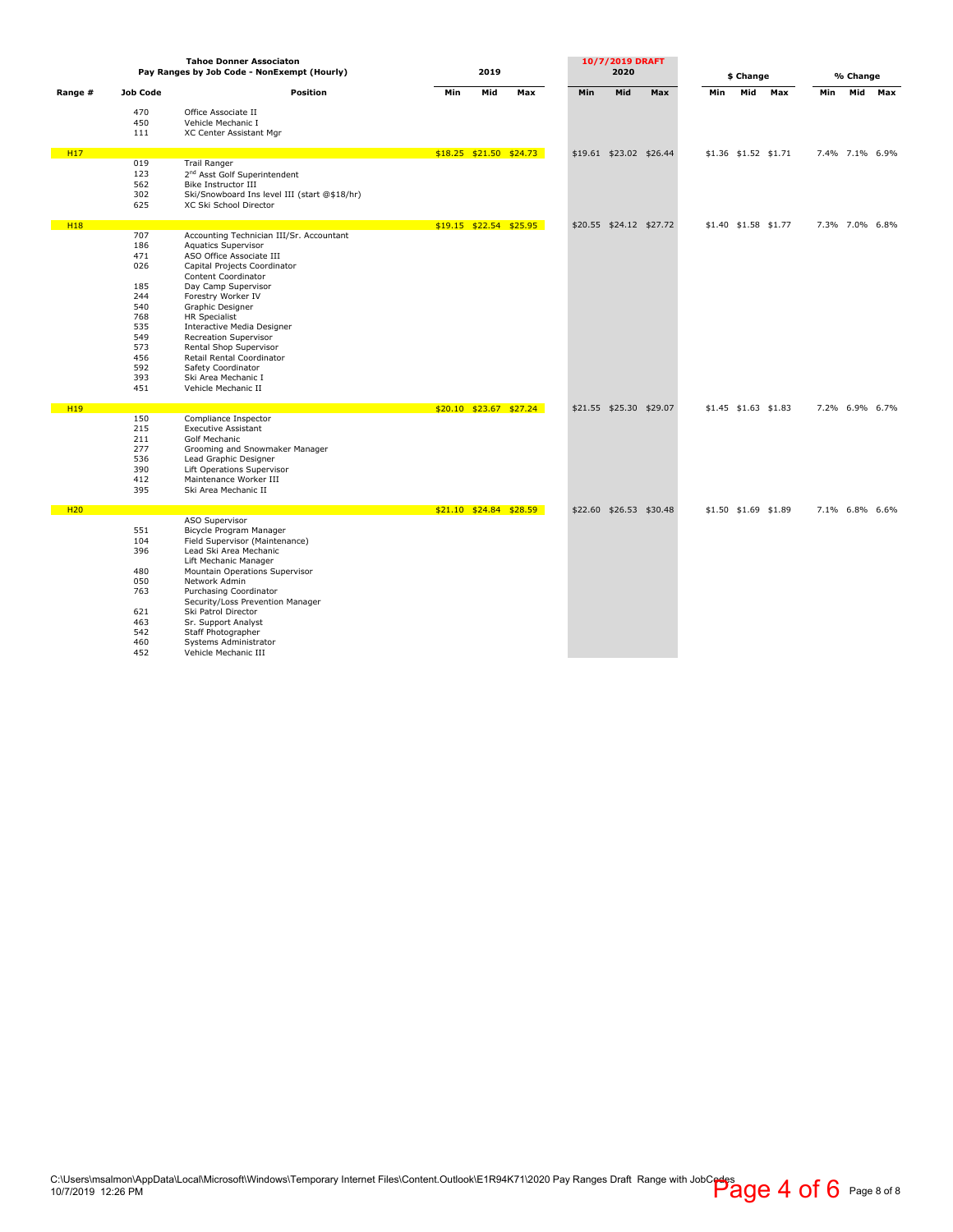|                 | <b>Tahoe Donner Associaton</b><br>Pay Ranges by Job Code - NonExempt (Hourly) |                                                         |     | 2019 |                            |     | 10/7/2019 DRAFT<br>2020 |     | \$ Change |     |                         | % Change |                |     |
|-----------------|-------------------------------------------------------------------------------|---------------------------------------------------------|-----|------|----------------------------|-----|-------------------------|-----|-----------|-----|-------------------------|----------|----------------|-----|
|                 |                                                                               |                                                         |     |      |                            |     |                         |     |           |     |                         |          |                |     |
| Range #         | <b>Job Code</b>                                                               | Position                                                | Min | Mid  | Max                        | Min | Mid                     | Max | Min       | Mid | Max                     | Min      | Mid            | Max |
|                 | 470                                                                           | Office Associate II                                     |     |      |                            |     |                         |     |           |     |                         |          |                |     |
|                 | 450                                                                           | Vehicle Mechanic I                                      |     |      |                            |     |                         |     |           |     |                         |          |                |     |
|                 | 111                                                                           | XC Center Assistant Mgr                                 |     |      |                            |     |                         |     |           |     |                         |          |                |     |
|                 |                                                                               |                                                         |     |      |                            |     |                         |     |           |     |                         |          |                |     |
| H <sub>17</sub> | 019                                                                           | <b>Trail Ranger</b>                                     |     |      | $$18.25$ $$21.50$ $$24.73$ |     | \$19.61 \$23.02 \$26.44 |     |           |     | \$1.36 \$1.52 \$1.71    |          | 7.4% 7.1% 6.9% |     |
|                 | 123                                                                           | 2 <sup>nd</sup> Asst Golf Superintendent                |     |      |                            |     |                         |     |           |     |                         |          |                |     |
|                 | 562                                                                           | Bike Instructor III                                     |     |      |                            |     |                         |     |           |     |                         |          |                |     |
|                 | 302                                                                           | Ski/Snowboard Ins level III (start @\$18/hr)            |     |      |                            |     |                         |     |           |     |                         |          |                |     |
|                 | 625                                                                           | XC Ski School Director                                  |     |      |                            |     |                         |     |           |     |                         |          |                |     |
|                 |                                                                               |                                                         |     |      |                            |     |                         |     |           |     |                         |          |                |     |
| <b>H18</b>      | 707                                                                           | Accounting Technician III/Sr. Accountant                |     |      | $$19.15$ $$22.54$ $$25.95$ |     | \$20.55 \$24.12 \$27.72 |     |           |     | \$1.40 \$1.58 \$1.77    |          | 7.3% 7.0% 6.8% |     |
|                 | 186                                                                           | <b>Aquatics Supervisor</b>                              |     |      |                            |     |                         |     |           |     |                         |          |                |     |
|                 | 471                                                                           | ASO Office Associate III                                |     |      |                            |     |                         |     |           |     |                         |          |                |     |
|                 | 026                                                                           | Capital Projects Coordinator                            |     |      |                            |     |                         |     |           |     |                         |          |                |     |
|                 |                                                                               | Content Coordinator                                     |     |      |                            |     |                         |     |           |     |                         |          |                |     |
|                 | 185                                                                           | Day Camp Supervisor                                     |     |      |                            |     |                         |     |           |     |                         |          |                |     |
|                 | 244                                                                           | Forestry Worker IV                                      |     |      |                            |     |                         |     |           |     |                         |          |                |     |
|                 | 540                                                                           | Graphic Designer                                        |     |      |                            |     |                         |     |           |     |                         |          |                |     |
|                 | 768<br>535                                                                    | <b>HR Specialist</b>                                    |     |      |                            |     |                         |     |           |     |                         |          |                |     |
|                 | 549                                                                           | Interactive Media Designer<br>Recreation Supervisor     |     |      |                            |     |                         |     |           |     |                         |          |                |     |
|                 | 573                                                                           | Rental Shop Supervisor                                  |     |      |                            |     |                         |     |           |     |                         |          |                |     |
|                 | 456                                                                           | Retail Rental Coordinator                               |     |      |                            |     |                         |     |           |     |                         |          |                |     |
|                 | 592                                                                           | Safety Coordinator                                      |     |      |                            |     |                         |     |           |     |                         |          |                |     |
|                 | 393                                                                           | Ski Area Mechanic I                                     |     |      |                            |     |                         |     |           |     |                         |          |                |     |
|                 | 451                                                                           | Vehicle Mechanic II                                     |     |      |                            |     |                         |     |           |     |                         |          |                |     |
| H <sub>19</sub> |                                                                               |                                                         |     |      | $$20.10$ $$23.67$ $$27.24$ |     | \$21.55 \$25.30 \$29.07 |     |           |     | $$1.45$ $$1.63$ $$1.83$ |          | 7.2% 6.9% 6.7% |     |
|                 | 150                                                                           | Compliance Inspector                                    |     |      |                            |     |                         |     |           |     |                         |          |                |     |
|                 | 215                                                                           | <b>Executive Assistant</b>                              |     |      |                            |     |                         |     |           |     |                         |          |                |     |
|                 | 211                                                                           | Golf Mechanic                                           |     |      |                            |     |                         |     |           |     |                         |          |                |     |
|                 | 277                                                                           | Grooming and Snowmaker Manager                          |     |      |                            |     |                         |     |           |     |                         |          |                |     |
|                 | 536<br>390                                                                    | Lead Graphic Designer                                   |     |      |                            |     |                         |     |           |     |                         |          |                |     |
|                 | 412                                                                           | Lift Operations Supervisor<br>Maintenance Worker III    |     |      |                            |     |                         |     |           |     |                         |          |                |     |
|                 | 395                                                                           | Ski Area Mechanic II                                    |     |      |                            |     |                         |     |           |     |                         |          |                |     |
|                 |                                                                               |                                                         |     |      |                            |     |                         |     |           |     |                         |          |                |     |
| <b>H20</b>      |                                                                               | ASO Supervisor                                          |     |      | $$21.10$ $$24.84$ $$28.59$ |     | \$22.60 \$26.53 \$30.48 |     |           |     | \$1.50 \$1.69 \$1.89    |          | 7.1% 6.8% 6.6% |     |
|                 | 551                                                                           | Bicycle Program Manager                                 |     |      |                            |     |                         |     |           |     |                         |          |                |     |
|                 | 104                                                                           | Field Supervisor (Maintenance)                          |     |      |                            |     |                         |     |           |     |                         |          |                |     |
|                 | 396                                                                           | Lead Ski Area Mechanic                                  |     |      |                            |     |                         |     |           |     |                         |          |                |     |
|                 |                                                                               | Lift Mechanic Manager                                   |     |      |                            |     |                         |     |           |     |                         |          |                |     |
|                 | 480                                                                           | Mountain Operations Supervisor                          |     |      |                            |     |                         |     |           |     |                         |          |                |     |
|                 | 050                                                                           | Network Admin                                           |     |      |                            |     |                         |     |           |     |                         |          |                |     |
|                 | 763                                                                           | Purchasing Coordinator                                  |     |      |                            |     |                         |     |           |     |                         |          |                |     |
|                 | 621                                                                           | Security/Loss Prevention Manager<br>Ski Patrol Director |     |      |                            |     |                         |     |           |     |                         |          |                |     |
|                 | 463                                                                           | Sr. Support Analyst                                     |     |      |                            |     |                         |     |           |     |                         |          |                |     |
|                 | 542                                                                           | Staff Photographer                                      |     |      |                            |     |                         |     |           |     |                         |          |                |     |
|                 | 460                                                                           | Systems Administrator                                   |     |      |                            |     |                         |     |           |     |                         |          |                |     |
|                 | 452                                                                           | Vehicle Mechanic III                                    |     |      |                            |     |                         |     |           |     |                         |          |                |     |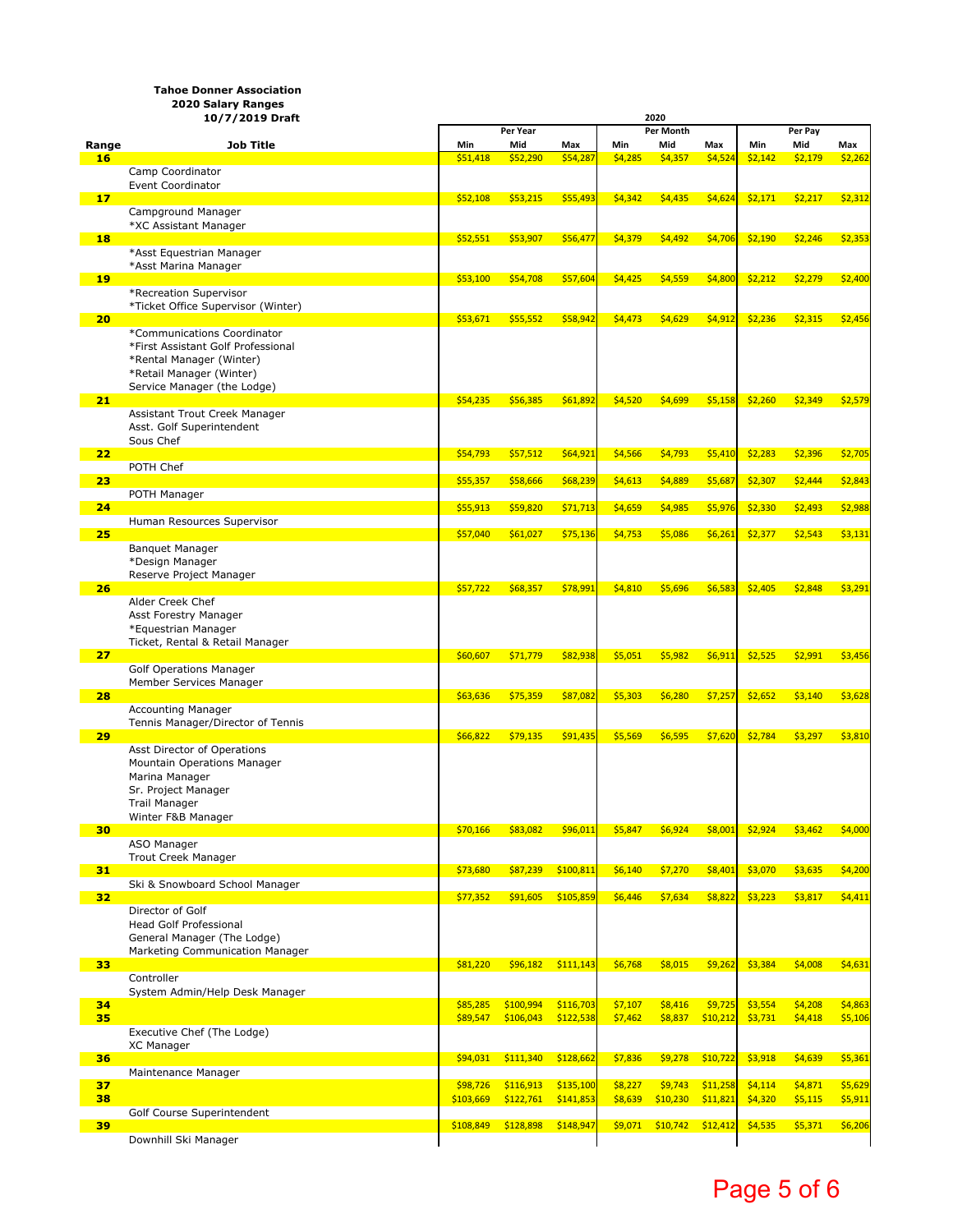## **Tahoe Donner Association 2020 Salary Ranges**

|           | 10/7/2019 Draft                    |           |           |           | 2020    |           |          |         |         |         |
|-----------|------------------------------------|-----------|-----------|-----------|---------|-----------|----------|---------|---------|---------|
|           |                                    |           | Per Year  |           |         | Per Month |          |         | Per Pay |         |
| Range     | Job Title                          | Min       | Mid       | Max       | Min     | Mid       | Max      | Min     | Mid     | Max     |
| 16        |                                    | \$51,418  | \$52,290  | \$54,287  | \$4,285 | \$4,357   | \$4,524  | \$2,142 | \$2,179 | \$2,262 |
|           | Camp Coordinator                   |           |           |           |         |           |          |         |         |         |
|           | <b>Event Coordinator</b>           |           |           |           |         |           |          |         |         |         |
| 17        |                                    | \$52,108  | \$53,215  | \$55,493  | \$4,342 | \$4,435   | \$4,624  | \$2,171 | \$2,217 | \$2,312 |
|           | Campground Manager                 |           |           |           |         |           |          |         |         |         |
|           | *XC Assistant Manager              |           |           |           |         |           |          |         |         |         |
| <b>18</b> |                                    | \$52,551  | \$53,907  | \$56,477  | \$4,379 | \$4,492   | \$4,706  | \$2,190 | \$2,246 | \$2,353 |
|           | *Asst Equestrian Manager           |           |           |           |         |           |          |         |         |         |
|           |                                    |           |           |           |         |           |          |         |         |         |
|           | *Asst Marina Manager               |           |           |           |         |           |          |         |         |         |
| <b>19</b> |                                    | \$53,100  | \$54,708  | \$57,604  | \$4,425 | \$4,559   | \$4,800  | \$2,212 | \$2,279 | \$2,400 |
|           | *Recreation Supervisor             |           |           |           |         |           |          |         |         |         |
|           | *Ticket Office Supervisor (Winter) |           |           |           |         |           |          |         |         |         |
| 20        |                                    | \$53,671  | \$55,552  | \$58,942  | \$4,473 | \$4,629   | \$4,912  | \$2,236 | \$2,315 | \$2,456 |
|           | *Communications Coordinator        |           |           |           |         |           |          |         |         |         |
|           | *First Assistant Golf Professional |           |           |           |         |           |          |         |         |         |
|           | *Rental Manager (Winter)           |           |           |           |         |           |          |         |         |         |
|           | *Retail Manager (Winter)           |           |           |           |         |           |          |         |         |         |
|           | Service Manager (the Lodge)        |           |           |           |         |           |          |         |         |         |
| 21        |                                    | \$54,235  | \$56,385  | \$61,892  | \$4,520 | \$4,699   | \$5,158  | \$2,260 | \$2,349 | \$2,579 |
|           |                                    |           |           |           |         |           |          |         |         |         |
|           | Assistant Trout Creek Manager      |           |           |           |         |           |          |         |         |         |
|           | Asst. Golf Superintendent          |           |           |           |         |           |          |         |         |         |
|           | Sous Chef                          |           |           |           |         |           |          |         |         |         |
| 22        |                                    | \$54,793  | \$57,512  | \$64,921  | \$4,566 | \$4,793   | \$5,410  | \$2,283 | \$2,396 | \$2,705 |
|           | POTH Chef                          |           |           |           |         |           |          |         |         |         |
| 23        |                                    | \$55,357  | \$58,666  | \$68,239  | \$4,613 | \$4,889   | \$5,687  | \$2,307 | \$2,444 | \$2,843 |
|           | POTH Manager                       |           |           |           |         |           |          |         |         |         |
| 24        |                                    | \$55,913  | \$59,820  | \$71,71   | \$4,659 | \$4,985   | \$5,976  | \$2,330 | \$2,493 | \$2,988 |
|           | Human Resources Supervisor         |           |           |           |         |           |          |         |         |         |
| 25        |                                    | \$57,040  | \$61,027  | \$75,136  | \$4,753 | \$5,086   | \$6,261  | \$2,377 | \$2,543 | \$3,131 |
|           |                                    |           |           |           |         |           |          |         |         |         |
|           | Banquet Manager                    |           |           |           |         |           |          |         |         |         |
|           | *Design Manager                    |           |           |           |         |           |          |         |         |         |
|           | Reserve Project Manager            |           |           |           |         |           |          |         |         |         |
| 26        |                                    | \$57,722  | \$68,357  | \$78,991  | \$4,810 | \$5,696   | \$6,583  | \$2,405 | \$2,848 | \$3,291 |
|           | Alder Creek Chef                   |           |           |           |         |           |          |         |         |         |
|           | Asst Forestry Manager              |           |           |           |         |           |          |         |         |         |
|           | *Equestrian Manager                |           |           |           |         |           |          |         |         |         |
|           | Ticket, Rental & Retail Manager    |           |           |           |         |           |          |         |         |         |
| 27        |                                    | \$60,607  | \$71,779  | \$82,938  | \$5,051 | \$5,982   | \$6,911  | \$2,525 | \$2,991 | \$3,456 |
|           |                                    |           |           |           |         |           |          |         |         |         |
|           | <b>Golf Operations Manager</b>     |           |           |           |         |           |          |         |         |         |
|           | Member Services Manager            |           |           |           |         |           |          |         |         |         |
| 28        |                                    | \$63,636  | \$75,359  | \$87,082  | \$5,303 | \$6,280   | \$7,257  | \$2,652 | \$3,140 | \$3,628 |
|           | <b>Accounting Manager</b>          |           |           |           |         |           |          |         |         |         |
|           | Tennis Manager/Director of Tennis  |           |           |           |         |           |          |         |         |         |
| 29        |                                    | \$66,822  | \$79,135  | \$91,435  | \$5,569 | \$6,595   | \$7,620  | \$2,784 | \$3,297 | \$3,810 |
|           | Asst Director of Operations        |           |           |           |         |           |          |         |         |         |
|           | Mountain Operations Manager        |           |           |           |         |           |          |         |         |         |
|           | Marina Manager                     |           |           |           |         |           |          |         |         |         |
|           |                                    |           |           |           |         |           |          |         |         |         |
|           | Sr. Project Manager                |           |           |           |         |           |          |         |         |         |
|           | Trail Manager                      |           |           |           |         |           |          |         |         |         |
|           | Winter F&B Manager                 |           |           |           |         |           |          |         |         |         |
| 30        |                                    | \$70,166  | \$83,082  | \$96,011  | \$5,847 | \$6,924   | \$8,001  | \$2,924 | \$3,462 | \$4,000 |
|           | ASO Manager                        |           |           |           |         |           |          |         |         |         |
|           | Trout Creek Manager                |           |           |           |         |           |          |         |         |         |
| 31        |                                    | \$73,680  | \$87,239  | \$100,811 | \$6,140 | \$7,270   | \$8,401  | \$3,070 | \$3,635 | \$4,200 |
|           | Ski & Snowboard School Manager     |           |           |           |         |           |          |         |         |         |
| 32        |                                    | \$77,352  | \$91,605  | \$105,859 | \$6,446 | \$7,634   | \$8,822  | \$3,223 | \$3,817 | \$4,411 |
|           | Director of Golf                   |           |           |           |         |           |          |         |         |         |
|           | <b>Head Golf Professional</b>      |           |           |           |         |           |          |         |         |         |
|           |                                    |           |           |           |         |           |          |         |         |         |
|           | General Manager (The Lodge)        |           |           |           |         |           |          |         |         |         |
|           | Marketing Communication Manager    |           |           |           |         |           |          |         |         |         |
| 33        |                                    | \$81,220  | \$96,182  | \$111,143 | \$6,768 | \$8,015   | \$9,262  | \$3,384 | \$4,008 | \$4,631 |
|           | Controller                         |           |           |           |         |           |          |         |         |         |
|           | System Admin/Help Desk Manager     |           |           |           |         |           |          |         |         |         |
| 34        |                                    | \$85,285  | \$100,994 | \$116,703 | \$7,107 | \$8,416   | \$9,725  | \$3,554 | \$4,208 | \$4,863 |
| 35        |                                    | \$89,547  | \$106,043 | \$122,538 | \$7,462 | \$8,837   | \$10,212 | \$3,731 | \$4,418 | \$5,106 |
|           | Executive Chef (The Lodge)         |           |           |           |         |           |          |         |         |         |
|           |                                    |           |           |           |         |           |          |         |         |         |
|           | XC Manager                         |           |           |           |         |           |          |         |         |         |
| 36        |                                    | \$94,031  | \$111,340 | \$128,662 | \$7,836 | \$9,278   | \$10,722 | \$3,918 | \$4,639 | \$5,361 |
|           | Maintenance Manager                |           |           |           |         |           |          |         |         |         |
| 37        |                                    | \$98,726  | \$116,913 | \$135,100 | \$8,227 | \$9,743   | \$11,258 | \$4,114 | \$4,871 | \$5,629 |
| 38        |                                    | \$103,669 | \$122,761 | \$141,853 | \$8,639 | \$10,230  | \$11,821 | \$4,320 | \$5,115 | \$5,911 |
|           | Golf Course Superintendent         |           |           |           |         |           |          |         |         |         |
| 39        |                                    | \$108,849 | \$128,898 | \$148,947 | \$9,071 | \$10,742  | \$12,412 | \$4,535 | \$5,371 | \$6,206 |
|           | Downhill Ski Manager               |           |           |           |         |           |          |         |         |         |